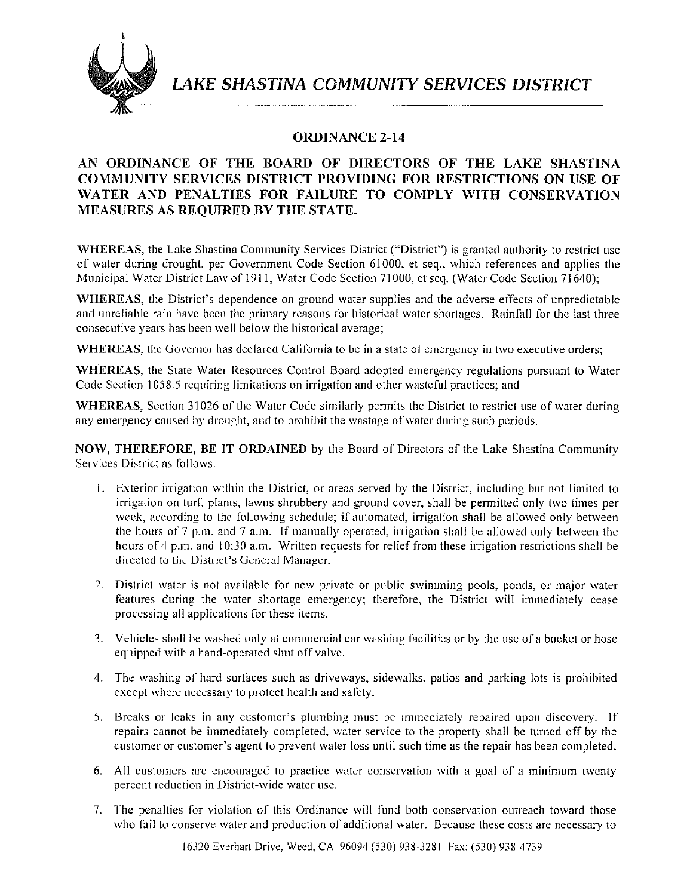

**LAKE SHASTINA COMMUNITY SERVICES DISTRICT** 

## **ORDINANCE 2-14**

## **AN ORDINANCE OF THE BOARD OF DIRECTORS OF THE LAKE SHASTINA COMMUNITY SERVICES DISTRICT PROVIDING FOR RESTRICTIONS ON USE OF WATER AND PENALTIES FOR FAILURE TO COMPLY WITH CONSERVATION MEASURES AS REQUIRED BY THE STATE.**

**WHEREAS,** the Lake Shastina Community Services District ("District") is granted authority to restrict use of water during drought, per Government Code Section 61000, et seq., which references and applies the Municipal Water District Law of 1911, Water Code Section 71000, et seq. (Water Code Section 71640);

**WHEREAS,** the District's dependence on ground water supplies and the adverse effects of unpredictable and unreliable rain have been the primary reasons for historical water shortages. Rainfall for the last three consecutive years has been well below the historical average;

**WHEREAS,** the Governor has declared California to be in a state of emergency in two executive orders;

**WHEREAS,** the State Water Resources Control Board adopted emergency regulations pursuant to Water Code Section 1058.5 requiring limitations on irrigation and other wasteful practices; and

**WHEREAS,** Section 31026 of the Water Code similarly permits the District to restrict use of water during any emergency caused by drought, and to prohibit the wastage of water during such periods.

**NOW, THEREFORE, BE IT ORDAINED** by the Board of Directors of the Lake Shastina Community Services District as follows:

- I. Exterior irrigation within the District, or areas served by the District, including but not limited to irrigation on turf, plants, lawns shrubbery and ground cover, shall be pennitted only two times per week, according to the following schedule; if automated, irrigation shall be allowed only between the hours of  $7$  p.m. and  $7$  a.m. If manually operated, irrigation shall be allowed only between the hours of 4 p.m. and 10:30 a.m. Written requests for relief from these irrigation restrictions shall be directed to the District's General Manager.
- 2. District water is not available for new private or public swimming pools, ponds, or major water features during the water shortage emergency; therefore, the District will immediately cease processing all applications for these items.
- 3. Vehicles shall be washed only at commercial car washing facilities or by the use of a bucket or hose equipped with a hand-operated shut off valve.
- 4. The washing of hard surfaces such as driveways, sidewalks, patios and parking lots is prohibited except where necessary to protect health and safety.
- 5. Breaks or leaks in any customer's plumbing must be immediately repaired upon discovery. If repairs cannot be immediately completed, water service to the property shall be turned off by the customer or customer's agent to prevent water loss until such time as the repair has been completed.
- 6. All customers are encouraged to practice water conservation with a goal of a minimum twenty percent reduction in District-wide water use.
- 7. The penalties for violation of this Ordinance will fund both conservation outreach toward those who fail to conserve water and production of additional water. Because these costs are necessary to